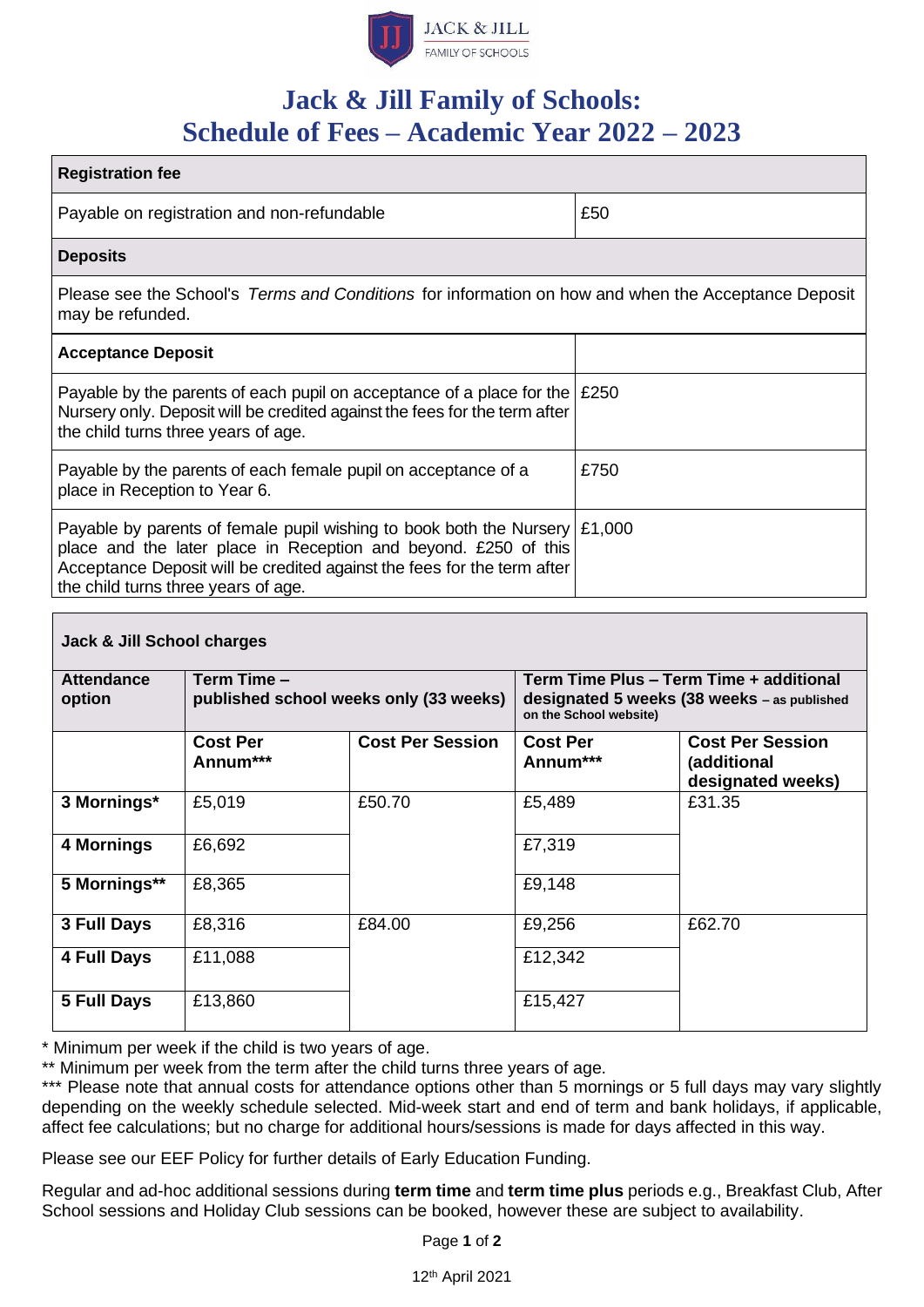

# **Jack & Jill Family of Schools: Schedule of Fees – Academic Year 2022 – 2023**

| <b>Registration fee</b>                                                                                                                                                                                                                                                |      |
|------------------------------------------------------------------------------------------------------------------------------------------------------------------------------------------------------------------------------------------------------------------------|------|
| Payable on registration and non-refundable                                                                                                                                                                                                                             | £50  |
| <b>Deposits</b>                                                                                                                                                                                                                                                        |      |
| Please see the School's Terms and Conditions for information on how and when the Acceptance Deposit<br>may be refunded.                                                                                                                                                |      |
| <b>Acceptance Deposit</b>                                                                                                                                                                                                                                              |      |
| Payable by the parents of each pupil on acceptance of a place for the $\mid$ £250<br>Nursery only. Deposit will be credited against the fees for the term after<br>the child turns three years of age.                                                                 |      |
| Payable by the parents of each female pupil on acceptance of a<br>place in Reception to Year 6.                                                                                                                                                                        | £750 |
| Payable by parents of female pupil wishing to book both the Nursery $\mid$ £1,000<br>place and the later place in Reception and beyond. £250 of this<br>Acceptance Deposit will be credited against the fees for the term after<br>the child turns three years of age. |      |

## **Jack & Jill School charges Attendance option Term Time – published school weeks only (33 weeks) Term Time Plus – Term Time + additional designated 5 weeks (38 weeks – as published on the School website) Cost Per Annum\*\*\* Cost Per Session | Cost Per Annum\*\*\* Cost Per Session (additional designated weeks) 3 Mornings\***  $\begin{array}{|c|c|c|c|c|}\n\hline\n\text{25,019} & \text{£}50.70 \\
\hline\n\end{array}$   $\begin{array}{|c|c|c|c|}\n\hline\n\text{25,489} & \text{£}31.35 \\
\hline\n\end{array}$ **4 Mornings** E6,692 **Example 1** E7,319 **5 Mornings\*\***  $\left| \right.$  £8,365  $\left| \right.$   $\left| \right.$  £9,148 **3 Full Days**  $\begin{array}{|c|c|c|c|c|c|}\n\hline\n8.316 & & & 1666 & & 1666 & & 1666 \hline\n\end{array}$ **4 Full Days**  $\left| \begin{array}{c} \text{\textsterling}11,088 \end{array} \right|$   $\left| \begin{array}{c} \text{\textsterling}12,342 \end{array} \right|$ **5 Full Days** | £13,860  $\vert$  **E**15,427

\* Minimum per week if the child is two years of age.

\*\* Minimum per week from the term after the child turns three years of age.

\*\*\* Please note that annual costs for attendance options other than 5 mornings or 5 full days may vary slightly depending on the weekly schedule selected. Mid-week start and end of term and bank holidays, if applicable, affect fee calculations; but no charge for additional hours/sessions is made for days affected in this way.

Please see our EEF Policy for further details of Early Education Funding.

Regular and ad-hoc additional sessions during **term time** and **term time plus** periods e.g., Breakfast Club, After School sessions and Holiday Club sessions can be booked, however these are subject to availability.

Page **1** of **2**